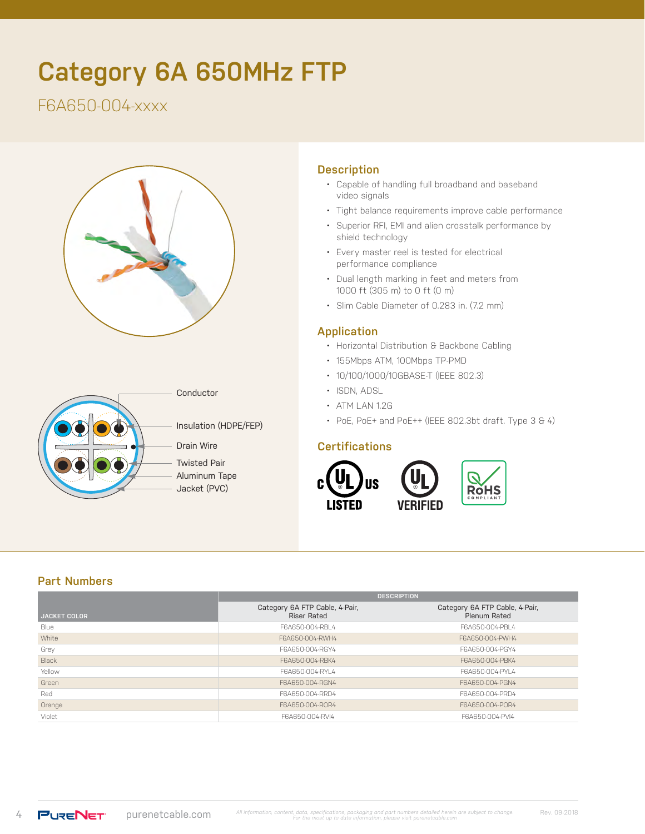# **Category 6A 650MHz FTP**

# F6A650-004-xxxx





## **Description**

- Capable of handling full broadband and baseband video signals
- Tight balance requirements improve cable performance
- Superior RFI, EMI and alien crosstalk performance by shield technology
- Every master reel is tested for electrical performance compliance
- Dual length marking in feet and meters from 1000 ft (305 m) to 0 ft (0 m)
- Slim Cable Diameter of 0.283 in. (7.2 mm)

#### **Application**

- Horizontal Distribution & Backbone Cabling
- 155Mbps ATM, 100Mbps TP-PMD
- 10/100/1000/10GBASE-T (IEEE 802.3)
- ISDN, ADSL
- ATM LAN 1.2G
- PoE, PoE+ and PoE++ (IEEE 802.3bt draft. Type 3 & 4)

#### **Certifications**



## **Part Numbers**

|                     | <b>DESCRIPTION</b>                                   |                                                |  |  |
|---------------------|------------------------------------------------------|------------------------------------------------|--|--|
| <b>JACKET COLOR</b> | Category 6A FTP Cable, 4-Pair,<br><b>Riser Rated</b> | Category 6A FTP Cable, 4-Pair,<br>Plenum Rated |  |  |
| Blue                | F6A650-004-RBL4                                      | F6A650-004-PBL4                                |  |  |
| White               | F6A650-004-RWH4                                      | F6A650-004-PWH4                                |  |  |
| Grey                | F6A650-004-RGY4                                      | F6A650-004-PGY4                                |  |  |
| Black               | F6A650-004-RBK4                                      | F6A650-004-PBK4                                |  |  |
| Yellow              | F6A650-004-RYL4                                      | F6A650-004-PYL4                                |  |  |
| Green               | F6A650-004-RGN4                                      | F6A650-004-PGN4                                |  |  |
| Red                 | F6A650-004-RRD4                                      | F6A650-004-PRD4                                |  |  |
| Orange              | F6A650-004-ROR4                                      | F6A650-004-POR4                                |  |  |
| Violet              | F6A650-004-RVI4                                      | F6A650-004-PVI4                                |  |  |